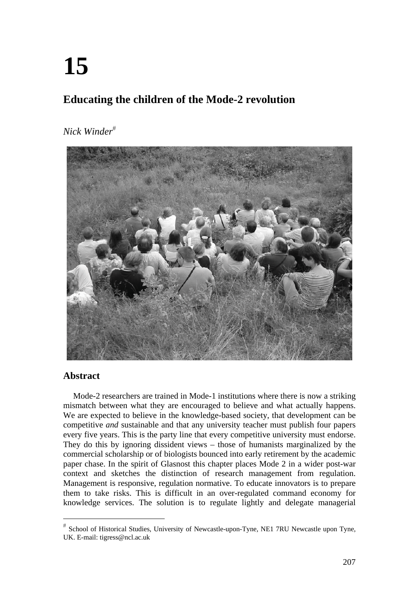# **15**

## **Educating the children of the Mode-2 revolution**

## *Nick Winder*



## **Abstract**

Mode-2 researchers are trained in Mode-1 institutions where there is now a striking mismatch between what they are encouraged to believe and what actually happens. We are expected to believe in the knowledge-based society, that development can be competitive *and* sustainable and that any university teacher must publish four papers every five years. This is the party line that every competitive university must endorse. They do this by ignoring dissident views – those of humanists marginalized by the commercial scholarship or of biologists bounced into early retirement by the academic paper chase. In the spirit of Glasnost this chapter places Mode 2 in a wider post-war context and sketches the distinction of research management from regulation. Management is responsive, regulation normative. To educate innovators is to prepare them to take risks. This is difficult in an over-regulated command economy for knowledge services. The solution is to regulate lightly and delegate managerial

School of Historical Studies, University of Newcastle-upon-Tyne, NE1 7RU Newcastle upon Tyne, UK. E-mail: tigress@ncl.ac.uk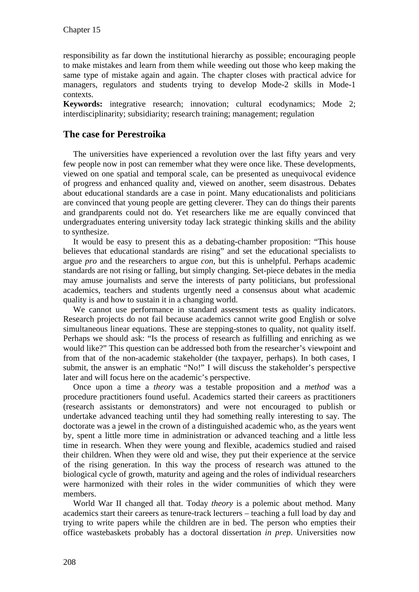responsibility as far down the institutional hierarchy as possible; encouraging people to make mistakes and learn from them while weeding out those who keep making the same type of mistake again and again. The chapter closes with practical advice for managers, regulators and students trying to develop Mode-2 skills in Mode-1 contexts.

**Keywords:** integrative research; innovation; cultural ecodynamics; Mode 2; interdisciplinarity; subsidiarity; research training; management; regulation

## **The case for Perestroika**

The universities have experienced a revolution over the last fifty years and very few people now in post can remember what they were once like. These developments, viewed on one spatial and temporal scale, can be presented as unequivocal evidence of progress and enhanced quality and, viewed on another, seem disastrous. Debates about educational standards are a case in point. Many educationalists and politicians are convinced that young people are getting cleverer. They can do things their parents and grandparents could not do. Yet researchers like me are equally convinced that undergraduates entering university today lack strategic thinking skills and the ability to synthesize.

It would be easy to present this as a debating-chamber proposition: "This house believes that educational standards are rising" and set the educational specialists to argue *pro* and the researchers to argue *con*, but this is unhelpful. Perhaps academic standards are not rising or falling, but simply changing. Set-piece debates in the media may amuse journalists and serve the interests of party politicians, but professional academics, teachers and students urgently need a consensus about what academic quality is and how to sustain it in a changing world.

We cannot use performance in standard assessment tests as quality indicators. Research projects do not fail because academics cannot write good English or solve simultaneous linear equations. These are stepping-stones to quality, not quality itself. Perhaps we should ask: "Is the process of research as fulfilling and enriching as we would like?" This question can be addressed both from the researcher's viewpoint and from that of the non-academic stakeholder (the taxpayer, perhaps). In both cases, I submit, the answer is an emphatic "No!" I will discuss the stakeholder's perspective later and will focus here on the academic's perspective.

Once upon a time a *theory* was a testable proposition and a *method* was a procedure practitioners found useful. Academics started their careers as practitioners (research assistants or demonstrators) and were not encouraged to publish or undertake advanced teaching until they had something really interesting to say. The doctorate was a jewel in the crown of a distinguished academic who, as the years went by, spent a little more time in administration or advanced teaching and a little less time in research. When they were young and flexible, academics studied and raised their children. When they were old and wise, they put their experience at the service of the rising generation. In this way the process of research was attuned to the biological cycle of growth, maturity and ageing and the roles of individual researchers were harmonized with their roles in the wider communities of which they were members.

World War II changed all that. Today *theory* is a polemic about method. Many academics start their careers as tenure-track lecturers – teaching a full load by day and trying to write papers while the children are in bed. The person who empties their office wastebaskets probably has a doctoral dissertation *in prep*. Universities now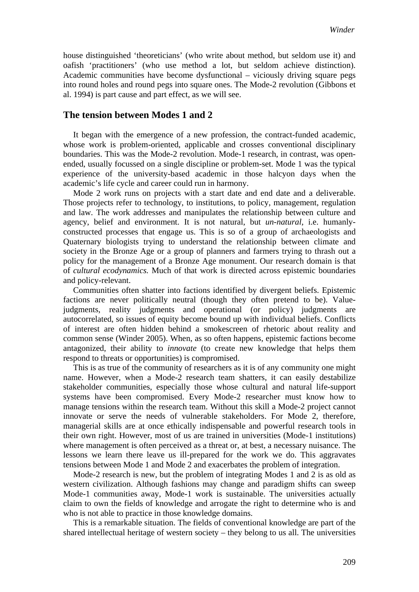house distinguished 'theoreticians' (who write about method, but seldom use it) and oafish 'practitioners' (who use method a lot, but seldom achieve distinction). Academic communities have become dysfunctional – viciously driving square pegs into round holes and round pegs into square ones. The Mode-2 revolution (Gibbons et al. 1994) is part cause and part effect, as we will see.

#### **The tension between Modes 1 and 2**

It began with the emergence of a new profession, the contract-funded academic, whose work is problem-oriented, applicable and crosses conventional disciplinary boundaries. This was the Mode-2 revolution. Mode-1 research, in contrast, was openended, usually focussed on a single discipline or problem-set. Mode 1 was the typical experience of the university-based academic in those halcyon days when the academic's life cycle and career could run in harmony.

Mode 2 work runs on projects with a start date and end date and a deliverable. Those projects refer to technology, to institutions, to policy, management, regulation and law. The work addresses and manipulates the relationship between culture and agency, belief and environment. It is not natural, but *un-natural*, i.e. humanlyconstructed processes that engage us. This is so of a group of archaeologists and Quaternary biologists trying to understand the relationship between climate and society in the Bronze Age or a group of planners and farmers trying to thrash out a policy for the management of a Bronze Age monument. Our research domain is that of *cultural ecodynamics.* Much of that work is directed across epistemic boundaries and policy-relevant.

Communities often shatter into factions identified by divergent beliefs. Epistemic factions are never politically neutral (though they often pretend to be). Valuejudgments, reality judgments and operational (or policy) judgments are autocorrelated, so issues of equity become bound up with individual beliefs. Conflicts of interest are often hidden behind a smokescreen of rhetoric about reality and common sense (Winder 2005). When, as so often happens, epistemic factions become antagonized, their ability to *innovate* (to create new knowledge that helps them respond to threats or opportunities) is compromised.

This is as true of the community of researchers as it is of any community one might name. However, when a Mode-2 research team shatters, it can easily destabilize stakeholder communities, especially those whose cultural and natural life-support systems have been compromised. Every Mode-2 researcher must know how to manage tensions within the research team. Without this skill a Mode-2 project cannot innovate or serve the needs of vulnerable stakeholders. For Mode 2, therefore, managerial skills are at once ethically indispensable and powerful research tools in their own right. However, most of us are trained in universities (Mode-1 institutions) where management is often perceived as a threat or, at best, a necessary nuisance. The lessons we learn there leave us ill-prepared for the work we do. This aggravates tensions between Mode 1 and Mode 2 and exacerbates the problem of integration.

Mode-2 research is new, but the problem of integrating Modes 1 and 2 is as old as western civilization. Although fashions may change and paradigm shifts can sweep Mode-1 communities away, Mode-1 work is sustainable. The universities actually claim to own the fields of knowledge and arrogate the right to determine who is and who is not able to practice in those knowledge domains.

This is a remarkable situation. The fields of conventional knowledge are part of the shared intellectual heritage of western society – they belong to us all. The universities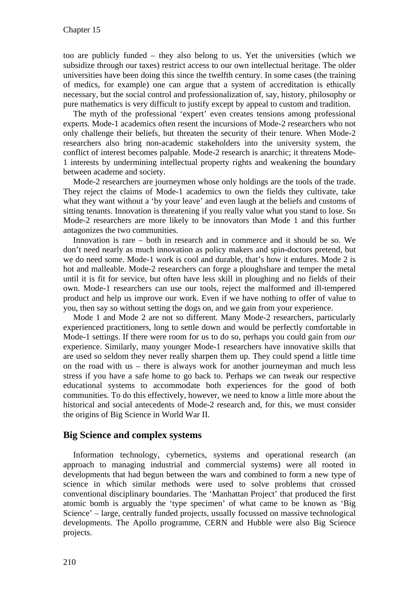too are publicly funded – they also belong to us. Yet the universities (which we subsidize through our taxes) restrict access to our own intellectual heritage. The older universities have been doing this since the twelfth century. In some cases (the training of medics, for example) one can argue that a system of accreditation is ethically necessary, but the social control and professionalization of, say, history, philosophy or pure mathematics is very difficult to justify except by appeal to custom and tradition.

The myth of the professional 'expert' even creates tensions among professional experts. Mode-1 academics often resent the incursions of Mode-2 researchers who not only challenge their beliefs, but threaten the security of their tenure. When Mode-2 researchers also bring non-academic stakeholders into the university system, the conflict of interest becomes palpable. Mode-2 research is anarchic; it threatens Mode-1 interests by undermining intellectual property rights and weakening the boundary between academe and society.

Mode-2 researchers are journeymen whose only holdings are the tools of the trade. They reject the claims of Mode-1 academics to own the fields they cultivate, take what they want without a 'by your leave' and even laugh at the beliefs and customs of sitting tenants. Innovation is threatening if you really value what you stand to lose. So Mode-2 researchers are more likely to be innovators than Mode 1 and this further antagonizes the two communities.

Innovation is rare – both in research and in commerce and it should be so. We don't need nearly as much innovation as policy makers and spin-doctors pretend, but we do need some. Mode-1 work is cool and durable, that's how it endures. Mode 2 is hot and malleable. Mode-2 researchers can forge a ploughshare and temper the metal until it is fit for service, but often have less skill in ploughing and no fields of their own. Mode-1 researchers can use our tools, reject the malformed and ill-tempered product and help us improve our work. Even if we have nothing to offer of value to you, then say so without setting the dogs on, and we gain from your experience.

Mode 1 and Mode 2 are not so different. Many Mode-2 researchers, particularly experienced practitioners, long to settle down and would be perfectly comfortable in Mode-1 settings. If there were room for us to do so, perhaps you could gain from *our* experience. Similarly, many younger Mode-1 researchers have innovative skills that are used so seldom they never really sharpen them up. They could spend a little time on the road with us – there is always work for another journeyman and much less stress if you have a safe home to go back to. Perhaps we can tweak our respective educational systems to accommodate both experiences for the good of both communities. To do this effectively, however, we need to know a little more about the historical and social antecedents of Mode-2 research and, for this, we must consider the origins of Big Science in World War II.

## **Big Science and complex systems**

Information technology, cybernetics, systems and operational research (an approach to managing industrial and commercial systems) were all rooted in developments that had begun between the wars and combined to form a new type of science in which similar methods were used to solve problems that crossed conventional disciplinary boundaries. The 'Manhattan Project' that produced the first atomic bomb is arguably the 'type specimen' of what came to be known as 'Big Science' – large, centrally funded projects, usually focussed on massive technological developments. The Apollo programme, CERN and Hubble were also Big Science projects.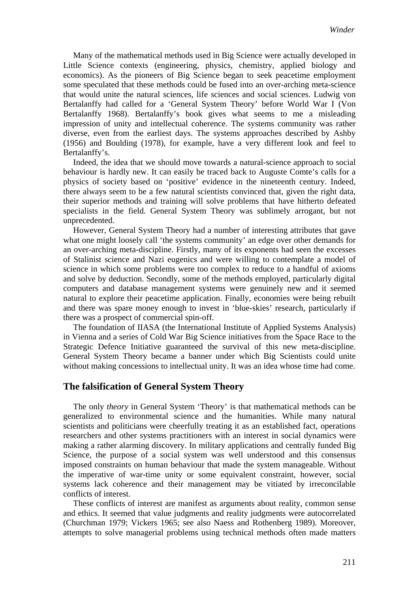Many of the mathematical methods used in Big Science were actually developed in Little Science contexts (engineering, physics, chemistry, applied biology and economics). As the pioneers of Big Science began to seek peacetime employment some speculated that these methods could be fused into an over-arching meta-science that would unite the natural sciences, life sciences and social sciences. Ludwig von Bertalanffy had called for a 'General System Theory' before World War I (Von Bertalanffy 1968). Bertalanffy's book gives what seems to me a misleading impression of unity and intellectual coherence. The systems community was rather diverse, even from the earliest days. The systems approaches described by Ashby (1956) and Boulding (1978), for example, have a very different look and feel to Bertalanffy's.

Indeed, the idea that we should move towards a natural-science approach to social behaviour is hardly new. It can easily be traced back to Auguste Comte's calls for a physics of society based on 'positive' evidence in the nineteenth century. Indeed, there always seem to be a few natural scientists convinced that, given the right data, their superior methods and training will solve problems that have hitherto defeated specialists in the field. General System Theory was sublimely arrogant, but not unprecedented.

However, General System Theory had a number of interesting attributes that gave what one might loosely call 'the systems community' an edge over other demands for an over-arching meta-discipline. Firstly, many of its exponents had seen the excesses of Stalinist science and Nazi eugenics and were willing to contemplate a model of science in which some problems were too complex to reduce to a handful of axioms and solve by deduction. Secondly, some of the methods employed, particularly digital computers and database management systems were genuinely new and it seemed natural to explore their peacetime application. Finally, economies were being rebuilt and there was spare money enough to invest in 'blue-skies' research, particularly if there was a prospect of commercial spin-off.

The foundation of IIASA (the International Institute of Applied Systems Analysis) in Vienna and a series of Cold War Big Science initiatives from the Space Race to the Strategic Defence Initiative guaranteed the survival of this new meta-discipline. General System Theory became a banner under which Big Scientists could unite without making concessions to intellectual unity. It was an idea whose time had come.

#### **The falsification of General System Theory**

The only *theory* in General System 'Theory' is that mathematical methods can be generalized to environmental science and the humanities. While many natural scientists and politicians were cheerfully treating it as an established fact, operations researchers and other systems practitioners with an interest in social dynamics were making a rather alarming discovery. In military applications and centrally funded Big Science, the purpose of a social system was well understood and this consensus imposed constraints on human behaviour that made the system manageable. Without the imperative of war-time unity or some equivalent constraint, however, social systems lack coherence and their management may be vitiated by irreconcilable conflicts of interest.

These conflicts of interest are manifest as arguments about reality, common sense and ethics. It seemed that value judgments and reality judgments were autocorrelated (Churchman 1979; Vickers 1965; see also Naess and Rothenberg 1989). Moreover, attempts to solve managerial problems using technical methods often made matters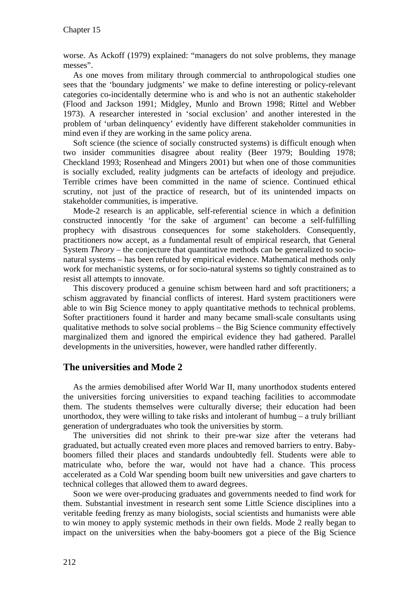worse. As Ackoff (1979) explained: "managers do not solve problems, they manage messes".

As one moves from military through commercial to anthropological studies one sees that the 'boundary judgments' we make to define interesting or policy-relevant categories co-incidentally determine who is and who is not an authentic stakeholder (Flood and Jackson 1991; Midgley, Munlo and Brown 1998; Rittel and Webber 1973). A researcher interested in 'social exclusion' and another interested in the problem of 'urban delinquency' evidently have different stakeholder communities in mind even if they are working in the same policy arena.

Soft science (the science of socially constructed systems) is difficult enough when two insider communities disagree about reality (Beer 1979; Boulding 1978; Checkland 1993; Rosenhead and Mingers 2001) but when one of those communities is socially excluded, reality judgments can be artefacts of ideology and prejudice. Terrible crimes have been committed in the name of science. Continued ethical scrutiny, not just of the practice of research, but of its unintended impacts on stakeholder communities, is imperative.

Mode-2 research is an applicable, self-referential science in which a definition constructed innocently 'for the sake of argument' can become a self-fulfilling prophecy with disastrous consequences for some stakeholders. Consequently, practitioners now accept, as a fundamental result of empirical research, that General System *Theory* – the conjecture that quantitative methods can be generalized to socionatural systems – has been refuted by empirical evidence. Mathematical methods only work for mechanistic systems, or for socio-natural systems so tightly constrained as to resist all attempts to innovate.

This discovery produced a genuine schism between hard and soft practitioners; a schism aggravated by financial conflicts of interest. Hard system practitioners were able to win Big Science money to apply quantitative methods to technical problems. Softer practitioners found it harder and many became small-scale consultants using qualitative methods to solve social problems – the Big Science community effectively marginalized them and ignored the empirical evidence they had gathered. Parallel developments in the universities, however, were handled rather differently.

## **The universities and Mode 2**

As the armies demobilised after World War II, many unorthodox students entered the universities forcing universities to expand teaching facilities to accommodate them. The students themselves were culturally diverse; their education had been unorthodox, they were willing to take risks and intolerant of humbug  $-$  a truly brilliant generation of undergraduates who took the universities by storm.

The universities did not shrink to their pre-war size after the veterans had graduated, but actually created even more places and removed barriers to entry. Babyboomers filled their places and standards undoubtedly fell. Students were able to matriculate who, before the war, would not have had a chance. This process accelerated as a Cold War spending boom built new universities and gave charters to technical colleges that allowed them to award degrees.

Soon we were over-producing graduates and governments needed to find work for them. Substantial investment in research sent some Little Science disciplines into a veritable feeding frenzy as many biologists, social scientists and humanists were able to win money to apply systemic methods in their own fields. Mode 2 really began to impact on the universities when the baby-boomers got a piece of the Big Science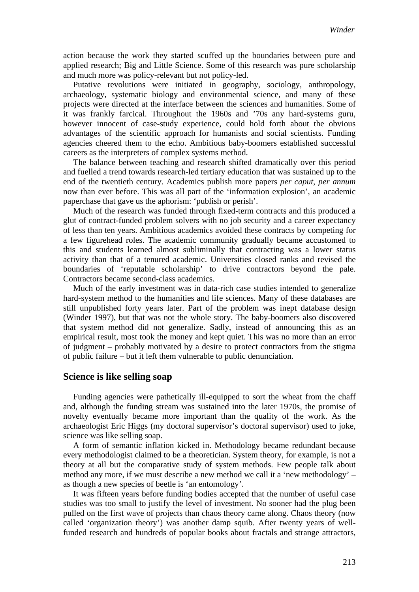action because the work they started scuffed up the boundaries between pure and applied research; Big and Little Science. Some of this research was pure scholarship and much more was policy-relevant but not policy-led.

Putative revolutions were initiated in geography, sociology, anthropology, archaeology, systematic biology and environmental science, and many of these projects were directed at the interface between the sciences and humanities. Some of it was frankly farcical. Throughout the 1960s and '70s any hard-systems guru, however innocent of case-study experience, could hold forth about the obvious advantages of the scientific approach for humanists and social scientists. Funding agencies cheered them to the echo. Ambitious baby-boomers established successful careers as the interpreters of complex systems method.

The balance between teaching and research shifted dramatically over this period and fuelled a trend towards research-led tertiary education that was sustained up to the end of the twentieth century. Academics publish more papers *per caput*, *per annum* now than ever before. This was all part of the 'information explosion', an academic paperchase that gave us the aphorism: 'publish or perish'.

Much of the research was funded through fixed-term contracts and this produced a glut of contract-funded problem solvers with no job security and a career expectancy of less than ten years. Ambitious academics avoided these contracts by competing for a few figurehead roles. The academic community gradually became accustomed to this and students learned almost subliminally that contracting was a lower status activity than that of a tenured academic. Universities closed ranks and revised the boundaries of 'reputable scholarship' to drive contractors beyond the pale. Contractors became second-class academics.

Much of the early investment was in data-rich case studies intended to generalize hard-system method to the humanities and life sciences. Many of these databases are still unpublished forty years later. Part of the problem was inept database design (Winder 1997), but that was not the whole story. The baby-boomers also discovered that system method did not generalize. Sadly, instead of announcing this as an empirical result, most took the money and kept quiet. This was no more than an error of judgment – probably motivated by a desire to protect contractors from the stigma of public failure – but it left them vulnerable to public denunciation.

#### **Science is like selling soap**

Funding agencies were pathetically ill-equipped to sort the wheat from the chaff and, although the funding stream was sustained into the later 1970s, the promise of novelty eventually became more important than the quality of the work. As the archaeologist Eric Higgs (my doctoral supervisor's doctoral supervisor) used to joke, science was like selling soap.

A form of semantic inflation kicked in. Methodology became redundant because every methodologist claimed to be a theoretician. System theory, for example, is not a theory at all but the comparative study of system methods. Few people talk about method any more, if we must describe a new method we call it a 'new methodology' – as though a new species of beetle is 'an entomology'.

It was fifteen years before funding bodies accepted that the number of useful case studies was too small to justify the level of investment. No sooner had the plug been pulled on the first wave of projects than chaos theory came along. Chaos theory (now called 'organization theory') was another damp squib. After twenty years of wellfunded research and hundreds of popular books about fractals and strange attractors,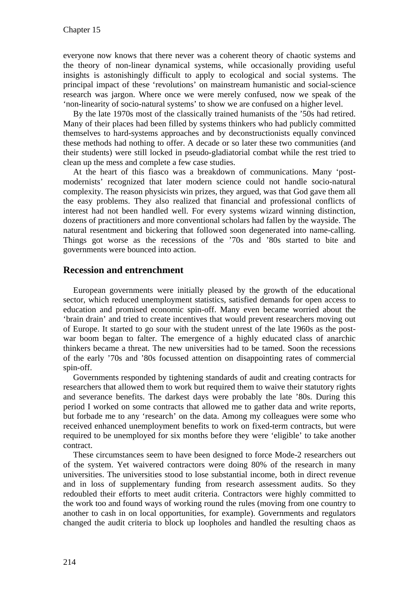everyone now knows that there never was a coherent theory of chaotic systems and the theory of non-linear dynamical systems, while occasionally providing useful insights is astonishingly difficult to apply to ecological and social systems. The principal impact of these 'revolutions' on mainstream humanistic and social-science research was jargon. Where once we were merely confused, now we speak of the 'non-linearity of socio-natural systems' to show we are confused on a higher level.

By the late 1970s most of the classically trained humanists of the '50s had retired. Many of their places had been filled by systems thinkers who had publicly committed themselves to hard-systems approaches and by deconstructionists equally convinced these methods had nothing to offer. A decade or so later these two communities (and their students) were still locked in pseudo-gladiatorial combat while the rest tried to clean up the mess and complete a few case studies.

At the heart of this fiasco was a breakdown of communications. Many 'postmodernists' recognized that later modern science could not handle socio-natural complexity. The reason physicists win prizes, they argued, was that God gave them all the easy problems. They also realized that financial and professional conflicts of interest had not been handled well. For every systems wizard winning distinction, dozens of practitioners and more conventional scholars had fallen by the wayside. The natural resentment and bickering that followed soon degenerated into name-calling. Things got worse as the recessions of the '70s and '80s started to bite and governments were bounced into action.

## **Recession and entrenchment**

European governments were initially pleased by the growth of the educational sector, which reduced unemployment statistics, satisfied demands for open access to education and promised economic spin-off. Many even became worried about the 'brain drain' and tried to create incentives that would prevent researchers moving out of Europe. It started to go sour with the student unrest of the late 1960s as the postwar boom began to falter. The emergence of a highly educated class of anarchic thinkers became a threat. The new universities had to be tamed. Soon the recessions of the early '70s and '80s focussed attention on disappointing rates of commercial spin-off.

Governments responded by tightening standards of audit and creating contracts for researchers that allowed them to work but required them to waive their statutory rights and severance benefits. The darkest days were probably the late '80s. During this period I worked on some contracts that allowed me to gather data and write reports, but forbade me to any 'research' on the data. Among my colleagues were some who received enhanced unemployment benefits to work on fixed-term contracts, but were required to be unemployed for six months before they were 'eligible' to take another contract.

These circumstances seem to have been designed to force Mode-2 researchers out of the system. Yet waivered contractors were doing 80% of the research in many universities. The universities stood to lose substantial income, both in direct revenue and in loss of supplementary funding from research assessment audits. So they redoubled their efforts to meet audit criteria. Contractors were highly committed to the work too and found ways of working round the rules (moving from one country to another to cash in on local opportunities, for example). Governments and regulators changed the audit criteria to block up loopholes and handled the resulting chaos as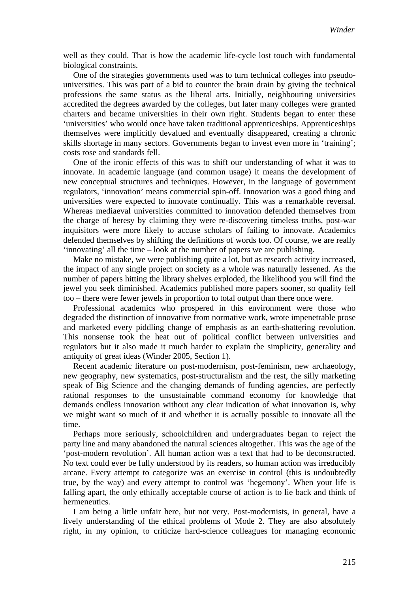well as they could. That is how the academic life-cycle lost touch with fundamental biological constraints.

One of the strategies governments used was to turn technical colleges into pseudouniversities. This was part of a bid to counter the brain drain by giving the technical professions the same status as the liberal arts. Initially, neighbouring universities accredited the degrees awarded by the colleges, but later many colleges were granted charters and became universities in their own right. Students began to enter these 'universities' who would once have taken traditional apprenticeships. Apprenticeships themselves were implicitly devalued and eventually disappeared, creating a chronic skills shortage in many sectors. Governments began to invest even more in 'training'; costs rose and standards fell.

One of the ironic effects of this was to shift our understanding of what it was to innovate. In academic language (and common usage) it means the development of new conceptual structures and techniques. However, in the language of government regulators, 'innovation' means commercial spin-off. Innovation was a good thing and universities were expected to innovate continually. This was a remarkable reversal. Whereas mediaeval universities committed to innovation defended themselves from the charge of heresy by claiming they were re-discovering timeless truths, post-war inquisitors were more likely to accuse scholars of failing to innovate. Academics defended themselves by shifting the definitions of words too. Of course, we are really 'innovating' all the time – look at the number of papers we are publishing.

Make no mistake, we were publishing quite a lot, but as research activity increased, the impact of any single project on society as a whole was naturally lessened. As the number of papers hitting the library shelves exploded, the likelihood you will find the jewel you seek diminished. Academics published more papers sooner, so quality fell too – there were fewer jewels in proportion to total output than there once were.

Professional academics who prospered in this environment were those who degraded the distinction of innovative from normative work, wrote impenetrable prose and marketed every piddling change of emphasis as an earth-shattering revolution. This nonsense took the heat out of political conflict between universities and regulators but it also made it much harder to explain the simplicity, generality and antiquity of great ideas (Winder 2005, Section 1).

Recent academic literature on post-modernism, post-feminism, new archaeology, new geography, new systematics, post-structuralism and the rest, the silly marketing speak of Big Science and the changing demands of funding agencies, are perfectly rational responses to the unsustainable command economy for knowledge that demands endless innovation without any clear indication of what innovation is, why we might want so much of it and whether it is actually possible to innovate all the time.

Perhaps more seriously, schoolchildren and undergraduates began to reject the party line and many abandoned the natural sciences altogether. This was the age of the 'post-modern revolution'. All human action was a text that had to be deconstructed. No text could ever be fully understood by its readers, so human action was irreducibly arcane. Every attempt to categorize was an exercise in control (this is undoubtedly true, by the way) and every attempt to control was 'hegemony'. When your life is falling apart, the only ethically acceptable course of action is to lie back and think of hermeneutics.

I am being a little unfair here, but not very. Post-modernists, in general, have a lively understanding of the ethical problems of Mode 2. They are also absolutely right, in my opinion, to criticize hard-science colleagues for managing economic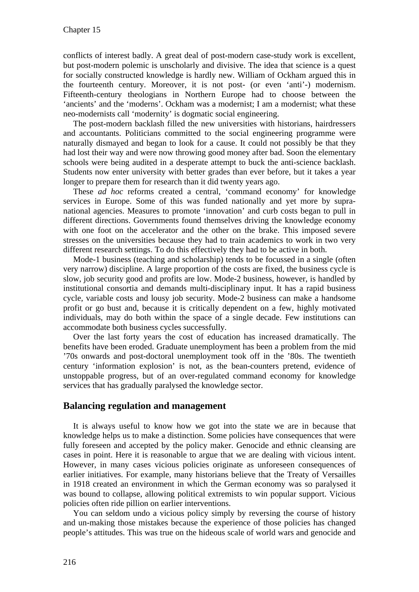conflicts of interest badly. A great deal of post-modern case-study work is excellent, but post-modern polemic is unscholarly and divisive. The idea that science is a quest for socially constructed knowledge is hardly new. William of Ockham argued this in the fourteenth century. Moreover, it is not post- (or even 'anti'-) modernism. Fifteenth-century theologians in Northern Europe had to choose between the 'ancients' and the 'moderns'. Ockham was a modernist; I am a modernist; what these neo-modernists call 'modernity' is dogmatic social engineering.

The post-modern backlash filled the new universities with historians, hairdressers and accountants. Politicians committed to the social engineering programme were naturally dismayed and began to look for a cause. It could not possibly be that they had lost their way and were now throwing good money after bad. Soon the elementary schools were being audited in a desperate attempt to buck the anti-science backlash. Students now enter university with better grades than ever before, but it takes a year longer to prepare them for research than it did twenty years ago.

These *ad hoc* reforms created a central, 'command economy' for knowledge services in Europe. Some of this was funded nationally and yet more by supranational agencies. Measures to promote 'innovation' and curb costs began to pull in different directions. Governments found themselves driving the knowledge economy with one foot on the accelerator and the other on the brake. This imposed severe stresses on the universities because they had to train academics to work in two very different research settings. To do this effectively they had to be active in both.

Mode-1 business (teaching and scholarship) tends to be focussed in a single (often very narrow) discipline. A large proportion of the costs are fixed, the business cycle is slow, job security good and profits are low. Mode-2 business, however, is handled by institutional consortia and demands multi-disciplinary input. It has a rapid business cycle, variable costs and lousy job security. Mode-2 business can make a handsome profit or go bust and, because it is critically dependent on a few, highly motivated individuals, may do both within the space of a single decade. Few institutions can accommodate both business cycles successfully.

Over the last forty years the cost of education has increased dramatically. The benefits have been eroded. Graduate unemployment has been a problem from the mid '70s onwards and post-doctoral unemployment took off in the '80s. The twentieth century 'information explosion' is not, as the bean-counters pretend, evidence of unstoppable progress, but of an over-regulated command economy for knowledge services that has gradually paralysed the knowledge sector.

### **Balancing regulation and management**

It is always useful to know how we got into the state we are in because that knowledge helps us to make a distinction. Some policies have consequences that were fully foreseen and accepted by the policy maker. Genocide and ethnic cleansing are cases in point. Here it is reasonable to argue that we are dealing with vicious intent. However, in many cases vicious policies originate as unforeseen consequences of earlier initiatives. For example, many historians believe that the Treaty of Versailles in 1918 created an environment in which the German economy was so paralysed it was bound to collapse, allowing political extremists to win popular support. Vicious policies often ride pillion on earlier interventions.

You can seldom undo a vicious policy simply by reversing the course of history and un-making those mistakes because the experience of those policies has changed people's attitudes. This was true on the hideous scale of world wars and genocide and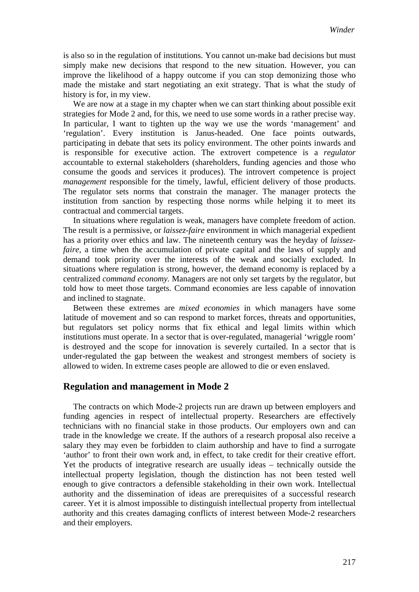is also so in the regulation of institutions. You cannot un-make bad decisions but must simply make new decisions that respond to the new situation. However, you can improve the likelihood of a happy outcome if you can stop demonizing those who made the mistake and start negotiating an exit strategy. That is what the study of history is for, in my view.

We are now at a stage in my chapter when we can start thinking about possible exit strategies for Mode 2 and, for this, we need to use some words in a rather precise way. In particular, I want to tighten up the way we use the words 'management' and 'regulation'. Every institution is Janus-headed. One face points outwards, participating in debate that sets its policy environment. The other points inwards and is responsible for executive action. The extrovert competence is a *regulator* accountable to external stakeholders (shareholders, funding agencies and those who consume the goods and services it produces). The introvert competence is project *management* responsible for the timely, lawful, efficient delivery of those products. The regulator sets norms that constrain the manager. The manager protects the institution from sanction by respecting those norms while helping it to meet its contractual and commercial targets.

In situations where regulation is weak, managers have complete freedom of action. The result is a permissive, or *laissez-faire* environment in which managerial expedient has a priority over ethics and law. The nineteenth century was the heyday of *laissezfaire*, a time when the accumulation of private capital and the laws of supply and demand took priority over the interests of the weak and socially excluded. In situations where regulation is strong, however, the demand economy is replaced by a centralized *command economy.* Managers are not only set targets by the regulator, but told how to meet those targets. Command economies are less capable of innovation and inclined to stagnate.

Between these extremes are *mixed economies* in which managers have some latitude of movement and so can respond to market forces, threats and opportunities, but regulators set policy norms that fix ethical and legal limits within which institutions must operate. In a sector that is over-regulated, managerial 'wriggle room' is destroyed and the scope for innovation is severely curtailed. In a sector that is under-regulated the gap between the weakest and strongest members of society is allowed to widen. In extreme cases people are allowed to die or even enslaved.

#### **Regulation and management in Mode 2**

The contracts on which Mode-2 projects run are drawn up between employers and funding agencies in respect of intellectual property. Researchers are effectively technicians with no financial stake in those products. Our employers own and can trade in the knowledge we create. If the authors of a research proposal also receive a salary they may even be forbidden to claim authorship and have to find a surrogate 'author' to front their own work and, in effect, to take credit for their creative effort. Yet the products of integrative research are usually ideas – technically outside the intellectual property legislation, though the distinction has not been tested well enough to give contractors a defensible stakeholding in their own work. Intellectual authority and the dissemination of ideas are prerequisites of a successful research career. Yet it is almost impossible to distinguish intellectual property from intellectual authority and this creates damaging conflicts of interest between Mode-2 researchers and their employers.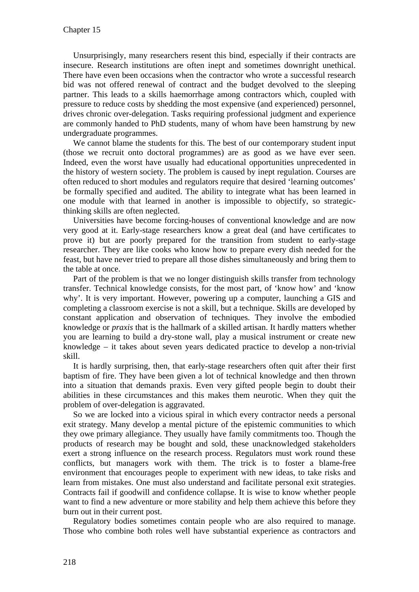Unsurprisingly, many researchers resent this bind, especially if their contracts are insecure. Research institutions are often inept and sometimes downright unethical. There have even been occasions when the contractor who wrote a successful research bid was not offered renewal of contract and the budget devolved to the sleeping partner. This leads to a skills haemorrhage among contractors which, coupled with pressure to reduce costs by shedding the most expensive (and experienced) personnel, drives chronic over-delegation. Tasks requiring professional judgment and experience are commonly handed to PhD students, many of whom have been hamstrung by new undergraduate programmes.

We cannot blame the students for this. The best of our contemporary student input (those we recruit onto doctoral programmes) are as good as we have ever seen. Indeed, even the worst have usually had educational opportunities unprecedented in the history of western society. The problem is caused by inept regulation. Courses are often reduced to short modules and regulators require that desired 'learning outcomes' be formally specified and audited. The ability to integrate what has been learned in one module with that learned in another is impossible to objectify, so strategicthinking skills are often neglected.

Universities have become forcing-houses of conventional knowledge and are now very good at it. Early-stage researchers know a great deal (and have certificates to prove it) but are poorly prepared for the transition from student to early-stage researcher. They are like cooks who know how to prepare every dish needed for the feast, but have never tried to prepare all those dishes simultaneously and bring them to the table at once.

Part of the problem is that we no longer distinguish skills transfer from technology transfer. Technical knowledge consists, for the most part, of 'know how' and 'know why'. It is very important. However, powering up a computer, launching a GIS and completing a classroom exercise is not a skill, but a technique. Skills are developed by constant application and observation of techniques. They involve the embodied knowledge or *praxis* that is the hallmark of a skilled artisan. It hardly matters whether you are learning to build a dry-stone wall, play a musical instrument or create new knowledge – it takes about seven years dedicated practice to develop a non-trivial skill.

It is hardly surprising, then, that early-stage researchers often quit after their first baptism of fire. They have been given a lot of technical knowledge and then thrown into a situation that demands praxis. Even very gifted people begin to doubt their abilities in these circumstances and this makes them neurotic. When they quit the problem of over-delegation is aggravated.

So we are locked into a vicious spiral in which every contractor needs a personal exit strategy. Many develop a mental picture of the epistemic communities to which they owe primary allegiance. They usually have family commitments too. Though the products of research may be bought and sold, these unacknowledged stakeholders exert a strong influence on the research process. Regulators must work round these conflicts, but managers work with them. The trick is to foster a blame-free environment that encourages people to experiment with new ideas, to take risks and learn from mistakes. One must also understand and facilitate personal exit strategies. Contracts fail if goodwill and confidence collapse. It is wise to know whether people want to find a new adventure or more stability and help them achieve this before they burn out in their current post.

Regulatory bodies sometimes contain people who are also required to manage. Those who combine both roles well have substantial experience as contractors and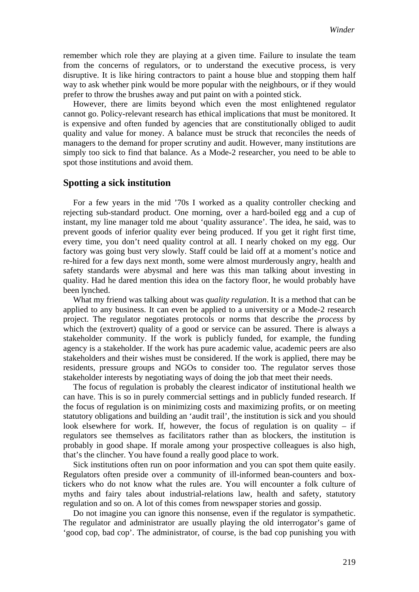remember which role they are playing at a given time. Failure to insulate the team from the concerns of regulators, or to understand the executive process, is very disruptive. It is like hiring contractors to paint a house blue and stopping them half way to ask whether pink would be more popular with the neighbours, or if they would prefer to throw the brushes away and put paint on with a pointed stick.

However, there are limits beyond which even the most enlightened regulator cannot go. Policy-relevant research has ethical implications that must be monitored. It is expensive and often funded by agencies that are constitutionally obliged to audit quality and value for money. A balance must be struck that reconciles the needs of managers to the demand for proper scrutiny and audit. However, many institutions are simply too sick to find that balance. As a Mode-2 researcher, you need to be able to spot those institutions and avoid them.

#### **Spotting a sick institution**

For a few years in the mid '70s I worked as a quality controller checking and rejecting sub-standard product. One morning, over a hard-boiled egg and a cup of instant, my line manager told me about 'quality assurance'. The idea, he said, was to prevent goods of inferior quality ever being produced. If you get it right first time, every time, you don't need quality control at all. I nearly choked on my egg. Our factory was going bust very slowly. Staff could be laid off at a moment's notice and re-hired for a few days next month, some were almost murderously angry, health and safety standards were abysmal and here was this man talking about investing in quality. Had he dared mention this idea on the factory floor, he would probably have been lynched.

What my friend was talking about was *quality regulation*. It is a method that can be applied to any business. It can even be applied to a university or a Mode-2 research project. The regulator negotiates protocols or norms that describe the *process* by which the (extrovert) quality of a good or service can be assured. There is always a stakeholder community. If the work is publicly funded, for example, the funding agency is a stakeholder. If the work has pure academic value, academic peers are also stakeholders and their wishes must be considered. If the work is applied, there may be residents, pressure groups and NGOs to consider too. The regulator serves those stakeholder interests by negotiating ways of doing the job that meet their needs.

The focus of regulation is probably the clearest indicator of institutional health we can have. This is so in purely commercial settings and in publicly funded research. If the focus of regulation is on minimizing costs and maximizing profits, or on meeting statutory obligations and building an 'audit trail', the institution is sick and you should look elsewhere for work. If, however, the focus of regulation is on quality  $-$  if regulators see themselves as facilitators rather than as blockers, the institution is probably in good shape. If morale among your prospective colleagues is also high, that's the clincher. You have found a really good place to work.

Sick institutions often run on poor information and you can spot them quite easily. Regulators often preside over a community of ill-informed bean-counters and boxtickers who do not know what the rules are. You will encounter a folk culture of myths and fairy tales about industrial-relations law, health and safety, statutory regulation and so on. A lot of this comes from newspaper stories and gossip.

Do not imagine you can ignore this nonsense, even if the regulator is sympathetic. The regulator and administrator are usually playing the old interrogator's game of 'good cop, bad cop'. The administrator, of course, is the bad cop punishing you with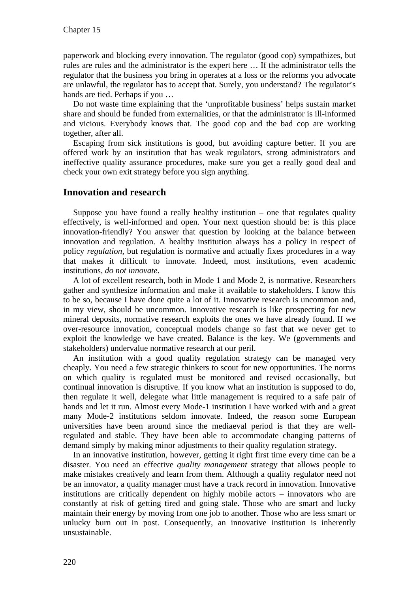paperwork and blocking every innovation. The regulator (good cop) sympathizes, but rules are rules and the administrator is the expert here … If the administrator tells the regulator that the business you bring in operates at a loss or the reforms you advocate are unlawful, the regulator has to accept that. Surely, you understand? The regulator's hands are tied. Perhaps if you …

Do not waste time explaining that the 'unprofitable business' helps sustain market share and should be funded from externalities, or that the administrator is ill-informed and vicious. Everybody knows that. The good cop and the bad cop are working together, after all.

Escaping from sick institutions is good, but avoiding capture better. If you are offered work by an institution that has weak regulators, strong administrators and ineffective quality assurance procedures, make sure you get a really good deal and check your own exit strategy before you sign anything.

## **Innovation and research**

Suppose you have found a really healthy institution  $-$  one that regulates quality effectively, is well-informed and open. Your next question should be: is this place innovation-friendly? You answer that question by looking at the balance between innovation and regulation. A healthy institution always has a policy in respect of policy *regulation*, but regulation is normative and actually fixes procedures in a way that makes it difficult to innovate. Indeed, most institutions, even academic institutions, *do not innovate*.

A lot of excellent research, both in Mode 1 and Mode 2, is normative. Researchers gather and synthesize information and make it available to stakeholders. I know this to be so, because I have done quite a lot of it. Innovative research is uncommon and, in my view, should be uncommon. Innovative research is like prospecting for new mineral deposits, normative research exploits the ones we have already found. If we over-resource innovation, conceptual models change so fast that we never get to exploit the knowledge we have created. Balance is the key. We (governments and stakeholders) undervalue normative research at our peril.

An institution with a good quality regulation strategy can be managed very cheaply. You need a few strategic thinkers to scout for new opportunities. The norms on which quality is regulated must be monitored and revised occasionally, but continual innovation is disruptive. If you know what an institution is supposed to do, then regulate it well, delegate what little management is required to a safe pair of hands and let it run. Almost every Mode-1 institution I have worked with and a great many Mode-2 institutions seldom innovate. Indeed, the reason some European universities have been around since the mediaeval period is that they are wellregulated and stable. They have been able to accommodate changing patterns of demand simply by making minor adjustments to their quality regulation strategy.

In an innovative institution, however, getting it right first time every time can be a disaster. You need an effective *quality management* strategy that allows people to make mistakes creatively and learn from them. Although a quality regulator need not be an innovator, a quality manager must have a track record in innovation. Innovative institutions are critically dependent on highly mobile actors – innovators who are constantly at risk of getting tired and going stale. Those who are smart and lucky maintain their energy by moving from one job to another. Those who are less smart or unlucky burn out in post. Consequently, an innovative institution is inherently unsustainable.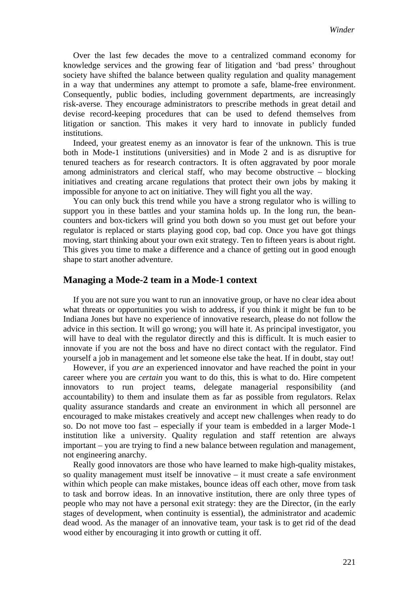Over the last few decades the move to a centralized command economy for knowledge services and the growing fear of litigation and 'bad press' throughout society have shifted the balance between quality regulation and quality management in a way that undermines any attempt to promote a safe, blame-free environment. Consequently, public bodies, including government departments, are increasingly risk-averse. They encourage administrators to prescribe methods in great detail and devise record-keeping procedures that can be used to defend themselves from litigation or sanction. This makes it very hard to innovate in publicly funded institutions.

Indeed, your greatest enemy as an innovator is fear of the unknown. This is true both in Mode-1 institutions (universities) and in Mode 2 and is as disruptive for tenured teachers as for research contractors. It is often aggravated by poor morale among administrators and clerical staff, who may become obstructive – blocking initiatives and creating arcane regulations that protect their own jobs by making it impossible for anyone to act on initiative. They will fight you all the way.

You can only buck this trend while you have a strong regulator who is willing to support you in these battles and your stamina holds up. In the long run, the beancounters and box-tickers will grind you both down so you must get out before your regulator is replaced or starts playing good cop, bad cop. Once you have got things moving, start thinking about your own exit strategy. Ten to fifteen years is about right. This gives you time to make a difference and a chance of getting out in good enough shape to start another adventure.

#### **Managing a Mode-2 team in a Mode-1 context**

If you are not sure you want to run an innovative group, or have no clear idea about what threats or opportunities you wish to address, if you think it might be fun to be Indiana Jones but have no experience of innovative research, please do not follow the advice in this section. It will go wrong; you will hate it. As principal investigator, you will have to deal with the regulator directly and this is difficult. It is much easier to innovate if you are not the boss and have no direct contact with the regulator. Find yourself a job in management and let someone else take the heat. If in doubt, stay out!

However, if you *are* an experienced innovator and have reached the point in your career where you are *certain* you want to do this, this is what to do. Hire competent innovators to run project teams, delegate managerial responsibility (and accountability) to them and insulate them as far as possible from regulators. Relax quality assurance standards and create an environment in which all personnel are encouraged to make mistakes creatively and accept new challenges when ready to do so. Do not move too fast – especially if your team is embedded in a larger Mode-1 institution like a university. Quality regulation and staff retention are always important – you are trying to find a new balance between regulation and management, not engineering anarchy.

Really good innovators are those who have learned to make high-quality mistakes, so quality management must itself be innovative – it must create a safe environment within which people can make mistakes, bounce ideas off each other, move from task to task and borrow ideas. In an innovative institution, there are only three types of people who may not have a personal exit strategy: they are the Director, (in the early stages of development, when continuity is essential), the administrator and academic dead wood. As the manager of an innovative team, your task is to get rid of the dead wood either by encouraging it into growth or cutting it off.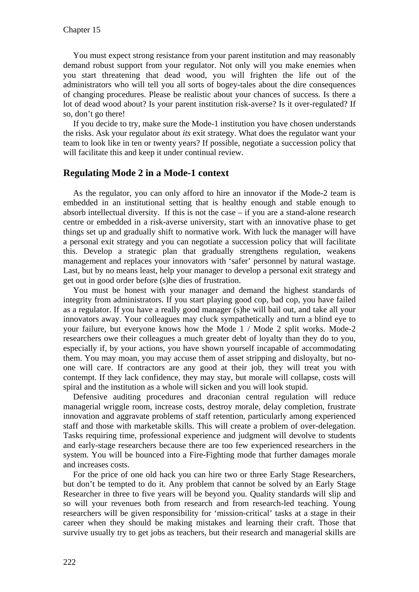You must expect strong resistance from your parent institution and may reasonably demand robust support from your regulator. Not only will you make enemies when you start threatening that dead wood, you will frighten the life out of the administrators who will tell you all sorts of bogey-tales about the dire consequences of changing procedures. Please be realistic about your chances of success. Is there a lot of dead wood about? Is your parent institution risk-averse? Is it over-regulated? If so, don't go there!

If you decide to try, make sure the Mode-1 institution you have chosen understands the risks. Ask your regulator about *its* exit strategy. What does the regulator want your team to look like in ten or twenty years? If possible, negotiate a succession policy that will facilitate this and keep it under continual review.

## **Regulating Mode 2 in a Mode-1 context**

As the regulator, you can only afford to hire an innovator if the Mode-2 team is embedded in an institutional setting that is healthy enough and stable enough to absorb intellectual diversity. If this is not the case – if you are a stand-alone research centre or embedded in a risk-averse university, start with an innovative phase to get things set up and gradually shift to normative work. With luck the manager will have a personal exit strategy and you can negotiate a succession policy that will facilitate this. Develop a strategic plan that gradually strengthens regulation, weakens management and replaces your innovators with 'safer' personnel by natural wastage. Last, but by no means least, help your manager to develop a personal exit strategy and get out in good order before (s)he dies of frustration.

You must be honest with your manager and demand the highest standards of integrity from administrators. If you start playing good cop, bad cop, you have failed as a regulator. If you have a really good manager (s)he will bail out, and take all your innovators away. Your colleagues may cluck sympathetically and turn a blind eye to your failure, but everyone knows how the Mode 1 / Mode 2 split works. Mode-2 researchers owe their colleagues a much greater debt of loyalty than they do to you, especially if, by your actions, you have shown yourself incapable of accommodating them. You may moan, you may accuse them of asset stripping and disloyalty, but noone will care. If contractors are any good at their job, they will treat you with contempt. If they lack confidence, they may stay, but morale will collapse, costs will spiral and the institution as a whole will sicken and you will look stupid.

Defensive auditing procedures and draconian central regulation will reduce managerial wriggle room, increase costs, destroy morale, delay completion, frustrate innovation and aggravate problems of staff retention, particularly among experienced staff and those with marketable skills. This will create a problem of over-delegation. Tasks requiring time, professional experience and judgment will devolve to students and early-stage researchers because there are too few experienced researchers in the system. You will be bounced into a Fire-Fighting mode that further damages morale and increases costs.

For the price of one old hack you can hire two or three Early Stage Researchers, but don't be tempted to do it. Any problem that cannot be solved by an Early Stage Researcher in three to five years will be beyond you. Quality standards will slip and so will your revenues both from research and from research-led teaching. Young researchers will be given responsibility for 'mission-critical' tasks at a stage in their career when they should be making mistakes and learning their craft. Those that survive usually try to get jobs as teachers, but their research and managerial skills are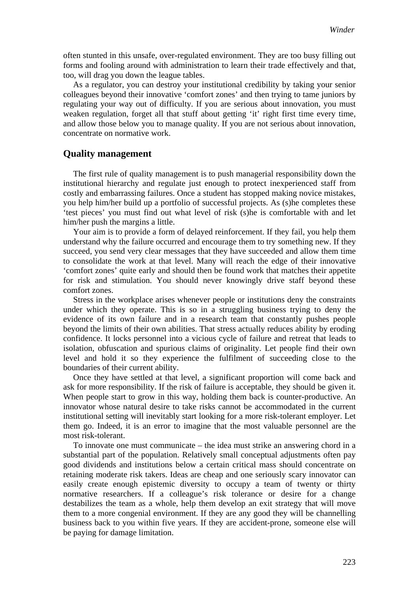often stunted in this unsafe, over-regulated environment. They are too busy filling out forms and fooling around with administration to learn their trade effectively and that, too, will drag you down the league tables.

As a regulator, you can destroy your institutional credibility by taking your senior colleagues beyond their innovative 'comfort zones' and then trying to tame juniors by regulating your way out of difficulty. If you are serious about innovation, you must weaken regulation, forget all that stuff about getting 'it' right first time every time, and allow those below you to manage quality. If you are not serious about innovation, concentrate on normative work.

#### **Quality management**

The first rule of quality management is to push managerial responsibility down the institutional hierarchy and regulate just enough to protect inexperienced staff from costly and embarrassing failures. Once a student has stopped making novice mistakes, you help him/her build up a portfolio of successful projects. As (s)he completes these 'test pieces' you must find out what level of risk (s)he is comfortable with and let him/her push the margins a little.

Your aim is to provide a form of delayed reinforcement. If they fail, you help them understand why the failure occurred and encourage them to try something new. If they succeed, you send very clear messages that they have succeeded and allow them time to consolidate the work at that level. Many will reach the edge of their innovative 'comfort zones' quite early and should then be found work that matches their appetite for risk and stimulation. You should never knowingly drive staff beyond these comfort zones.

Stress in the workplace arises whenever people or institutions deny the constraints under which they operate. This is so in a struggling business trying to deny the evidence of its own failure and in a research team that constantly pushes people beyond the limits of their own abilities. That stress actually reduces ability by eroding confidence. It locks personnel into a vicious cycle of failure and retreat that leads to isolation, obfuscation and spurious claims of originality. Let people find their own level and hold it so they experience the fulfilment of succeeding close to the boundaries of their current ability.

Once they have settled at that level, a significant proportion will come back and ask for more responsibility. If the risk of failure is acceptable, they should be given it. When people start to grow in this way, holding them back is counter-productive. An innovator whose natural desire to take risks cannot be accommodated in the current institutional setting will inevitably start looking for a more risk-tolerant employer. Let them go. Indeed, it is an error to imagine that the most valuable personnel are the most risk-tolerant.

To innovate one must communicate – the idea must strike an answering chord in a substantial part of the population. Relatively small conceptual adjustments often pay good dividends and institutions below a certain critical mass should concentrate on retaining moderate risk takers. Ideas are cheap and one seriously scary innovator can easily create enough epistemic diversity to occupy a team of twenty or thirty normative researchers. If a colleague's risk tolerance or desire for a change destabilizes the team as a whole, help them develop an exit strategy that will move them to a more congenial environment. If they are any good they will be channelling business back to you within five years. If they are accident-prone, someone else will be paying for damage limitation.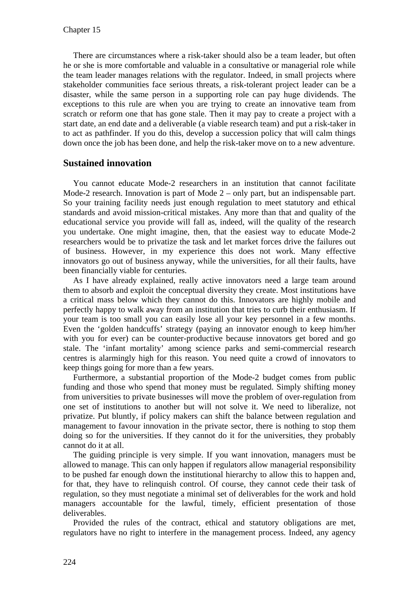There are circumstances where a risk-taker should also be a team leader, but often he or she is more comfortable and valuable in a consultative or managerial role while the team leader manages relations with the regulator. Indeed, in small projects where stakeholder communities face serious threats, a risk-tolerant project leader can be a disaster, while the same person in a supporting role can pay huge dividends. The exceptions to this rule are when you are trying to create an innovative team from scratch or reform one that has gone stale. Then it may pay to create a project with a start date, an end date and a deliverable (a viable research team) and put a risk-taker in to act as pathfinder. If you do this, develop a succession policy that will calm things down once the job has been done, and help the risk-taker move on to a new adventure.

## **Sustained innovation**

You cannot educate Mode-2 researchers in an institution that cannot facilitate Mode-2 research. Innovation is part of Mode 2 – only part, but an indispensable part. So your training facility needs just enough regulation to meet statutory and ethical standards and avoid mission-critical mistakes. Any more than that and quality of the educational service you provide will fall as, indeed, will the quality of the research you undertake. One might imagine, then, that the easiest way to educate Mode-2 researchers would be to privatize the task and let market forces drive the failures out of business. However, in my experience this does not work. Many effective innovators go out of business anyway, while the universities, for all their faults, have been financially viable for centuries.

As I have already explained, really active innovators need a large team around them to absorb and exploit the conceptual diversity they create. Most institutions have a critical mass below which they cannot do this. Innovators are highly mobile and perfectly happy to walk away from an institution that tries to curb their enthusiasm. If your team is too small you can easily lose all your key personnel in a few months. Even the 'golden handcuffs' strategy (paying an innovator enough to keep him/her with you for ever) can be counter-productive because innovators get bored and go stale. The 'infant mortality' among science parks and semi-commercial research centres is alarmingly high for this reason. You need quite a crowd of innovators to keep things going for more than a few years.

Furthermore, a substantial proportion of the Mode-2 budget comes from public funding and those who spend that money must be regulated. Simply shifting money from universities to private businesses will move the problem of over-regulation from one set of institutions to another but will not solve it. We need to liberalize, not privatize. Put bluntly, if policy makers can shift the balance between regulation and management to favour innovation in the private sector, there is nothing to stop them doing so for the universities. If they cannot do it for the universities, they probably cannot do it at all.

The guiding principle is very simple. If you want innovation, managers must be allowed to manage. This can only happen if regulators allow managerial responsibility to be pushed far enough down the institutional hierarchy to allow this to happen and, for that, they have to relinquish control. Of course, they cannot cede their task of regulation, so they must negotiate a minimal set of deliverables for the work and hold managers accountable for the lawful, timely, efficient presentation of those deliverables.

Provided the rules of the contract, ethical and statutory obligations are met, regulators have no right to interfere in the management process. Indeed, any agency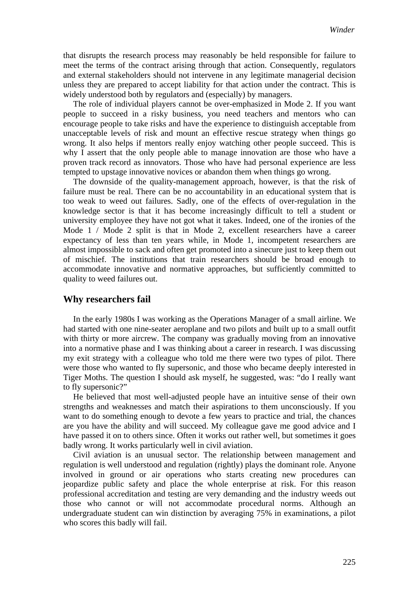that disrupts the research process may reasonably be held responsible for failure to meet the terms of the contract arising through that action. Consequently, regulators and external stakeholders should not intervene in any legitimate managerial decision unless they are prepared to accept liability for that action under the contract. This is widely understood both by regulators and (especially) by managers.

The role of individual players cannot be over-emphasized in Mode 2. If you want people to succeed in a risky business, you need teachers and mentors who can encourage people to take risks and have the experience to distinguish acceptable from unacceptable levels of risk and mount an effective rescue strategy when things go wrong. It also helps if mentors really enjoy watching other people succeed. This is why I assert that the only people able to manage innovation are those who have a proven track record as innovators. Those who have had personal experience are less tempted to upstage innovative novices or abandon them when things go wrong.

The downside of the quality-management approach, however, is that the risk of failure must be real. There can be no accountability in an educational system that is too weak to weed out failures. Sadly, one of the effects of over-regulation in the knowledge sector is that it has become increasingly difficult to tell a student or university employee they have not got what it takes. Indeed, one of the ironies of the Mode 1 / Mode 2 split is that in Mode 2, excellent researchers have a career expectancy of less than ten years while, in Mode 1, incompetent researchers are almost impossible to sack and often get promoted into a sinecure just to keep them out of mischief. The institutions that train researchers should be broad enough to accommodate innovative and normative approaches, but sufficiently committed to quality to weed failures out.

#### **Why researchers fail**

In the early 1980s I was working as the Operations Manager of a small airline. We had started with one nine-seater aeroplane and two pilots and built up to a small outfit with thirty or more aircrew. The company was gradually moving from an innovative into a normative phase and I was thinking about a career in research. I was discussing my exit strategy with a colleague who told me there were two types of pilot. There were those who wanted to fly supersonic, and those who became deeply interested in Tiger Moths. The question I should ask myself, he suggested, was: "do I really want to fly supersonic?"

He believed that most well-adjusted people have an intuitive sense of their own strengths and weaknesses and match their aspirations to them unconsciously. If you want to do something enough to devote a few years to practice and trial, the chances are you have the ability and will succeed. My colleague gave me good advice and I have passed it on to others since. Often it works out rather well, but sometimes it goes badly wrong. It works particularly well in civil aviation.

Civil aviation is an unusual sector. The relationship between management and regulation is well understood and regulation (rightly) plays the dominant role. Anyone involved in ground or air operations who starts creating new procedures can jeopardize public safety and place the whole enterprise at risk. For this reason professional accreditation and testing are very demanding and the industry weeds out those who cannot or will not accommodate procedural norms. Although an undergraduate student can win distinction by averaging 75% in examinations, a pilot who scores this badly will fail.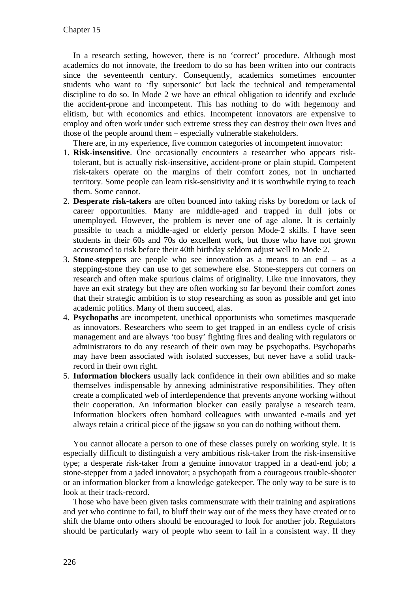In a research setting, however, there is no 'correct' procedure. Although most academics do not innovate, the freedom to do so has been written into our contracts since the seventeenth century. Consequently, academics sometimes encounter students who want to 'fly supersonic' but lack the technical and temperamental discipline to do so. In Mode 2 we have an ethical obligation to identify and exclude the accident-prone and incompetent. This has nothing to do with hegemony and elitism, but with economics and ethics. Incompetent innovators are expensive to employ and often work under such extreme stress they can destroy their own lives and those of the people around them – especially vulnerable stakeholders.

There are, in my experience, five common categories of incompetent innovator:

- 1. **Risk-insensitive**. One occasionally encounters a researcher who appears risktolerant, but is actually risk-insensitive, accident-prone or plain stupid. Competent risk-takers operate on the margins of their comfort zones, not in uncharted territory. Some people can learn risk-sensitivity and it is worthwhile trying to teach them. Some cannot.
- 2. **Desperate risk-takers** are often bounced into taking risks by boredom or lack of career opportunities. Many are middle-aged and trapped in dull jobs or unemployed. However, the problem is never one of age alone. It is certainly possible to teach a middle-aged or elderly person Mode-2 skills. I have seen students in their 60s and 70s do excellent work, but those who have not grown accustomed to risk before their 40th birthday seldom adjust well to Mode 2.
- 3. **Stone-steppers** are people who see innovation as a means to an end as a stepping-stone they can use to get somewhere else. Stone-steppers cut corners on research and often make spurious claims of originality. Like true innovators, they have an exit strategy but they are often working so far beyond their comfort zones that their strategic ambition is to stop researching as soon as possible and get into academic politics. Many of them succeed, alas.
- 4. **Psychopaths** are incompetent, unethical opportunists who sometimes masquerade as innovators. Researchers who seem to get trapped in an endless cycle of crisis management and are always 'too busy' fighting fires and dealing with regulators or administrators to do any research of their own may be psychopaths. Psychopaths may have been associated with isolated successes, but never have a solid trackrecord in their own right.
- 5. **Information blockers** usually lack confidence in their own abilities and so make themselves indispensable by annexing administrative responsibilities. They often create a complicated web of interdependence that prevents anyone working without their cooperation. An information blocker can easily paralyse a research team. Information blockers often bombard colleagues with unwanted e-mails and yet always retain a critical piece of the jigsaw so you can do nothing without them.

You cannot allocate a person to one of these classes purely on working style. It is especially difficult to distinguish a very ambitious risk-taker from the risk-insensitive type; a desperate risk-taker from a genuine innovator trapped in a dead-end job; a stone-stepper from a jaded innovator; a psychopath from a courageous trouble-shooter or an information blocker from a knowledge gatekeeper. The only way to be sure is to look at their track-record.

Those who have been given tasks commensurate with their training and aspirations and yet who continue to fail, to bluff their way out of the mess they have created or to shift the blame onto others should be encouraged to look for another job. Regulators should be particularly wary of people who seem to fail in a consistent way. If they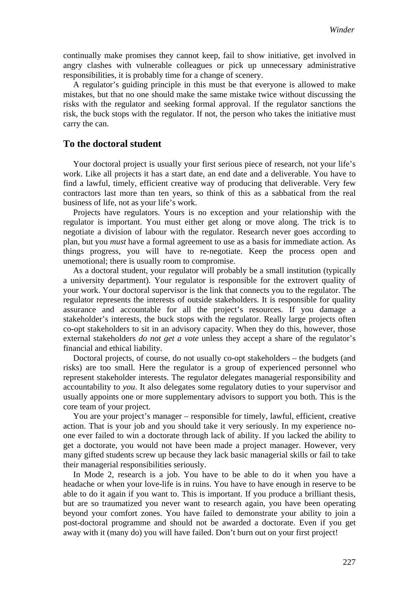continually make promises they cannot keep, fail to show initiative, get involved in angry clashes with vulnerable colleagues or pick up unnecessary administrative responsibilities, it is probably time for a change of scenery.

A regulator's guiding principle in this must be that everyone is allowed to make mistakes, but that no one should make the same mistake twice without discussing the risks with the regulator and seeking formal approval. If the regulator sanctions the risk, the buck stops with the regulator. If not, the person who takes the initiative must carry the can.

#### **To the doctoral student**

Your doctoral project is usually your first serious piece of research, not your life's work. Like all projects it has a start date, an end date and a deliverable. You have to find a lawful, timely, efficient creative way of producing that deliverable. Very few contractors last more than ten years, so think of this as a sabbatical from the real business of life, not as your life's work.

Projects have regulators. Yours is no exception and your relationship with the regulator is important. You must either get along or move along. The trick is to negotiate a division of labour with the regulator. Research never goes according to plan, but you *must* have a formal agreement to use as a basis for immediate action. As things progress, you will have to re-negotiate. Keep the process open and unemotional; there is usually room to compromise.

As a doctoral student, your regulator will probably be a small institution (typically a university department). Your regulator is responsible for the extrovert quality of your work. Your doctoral supervisor is the link that connects you to the regulator. The regulator represents the interests of outside stakeholders. It is responsible for quality assurance and accountable for all the project's resources. If you damage a stakeholder's interests, the buck stops with the regulator. Really large projects often co-opt stakeholders to sit in an advisory capacity. When they do this, however, those external stakeholders *do not get a vote* unless they accept a share of the regulator's financial and ethical liability.

Doctoral projects, of course, do not usually co-opt stakeholders – the budgets (and risks) are too small. Here the regulator is a group of experienced personnel who represent stakeholder interests. The regulator delegates managerial responsibility and accountability to *you*. It also delegates some regulatory duties to your supervisor and usually appoints one or more supplementary advisors to support you both. This is the core team of your project.

You are your project's manager – responsible for timely, lawful, efficient, creative action. That is your job and you should take it very seriously. In my experience noone ever failed to win a doctorate through lack of ability. If you lacked the ability to get a doctorate, you would not have been made a project manager. However, very many gifted students screw up because they lack basic managerial skills or fail to take their managerial responsibilities seriously.

In Mode 2, research is a job. You have to be able to do it when you have a headache or when your love-life is in ruins. You have to have enough in reserve to be able to do it again if you want to. This is important. If you produce a brilliant thesis, but are so traumatized you never want to research again, you have been operating beyond your comfort zones. You have failed to demonstrate your ability to join a post-doctoral programme and should not be awarded a doctorate. Even if you get away with it (many do) you will have failed. Don't burn out on your first project!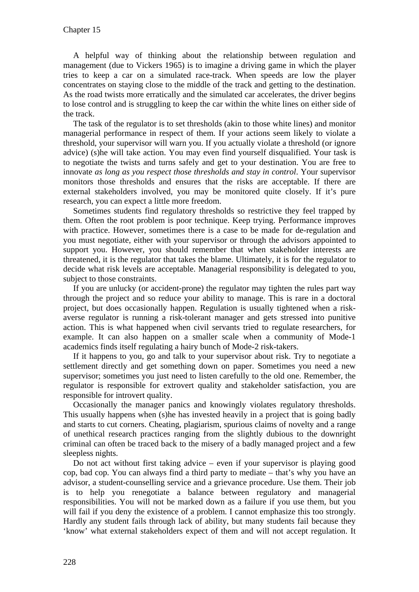A helpful way of thinking about the relationship between regulation and management (due to Vickers 1965) is to imagine a driving game in which the player tries to keep a car on a simulated race-track. When speeds are low the player concentrates on staying close to the middle of the track and getting to the destination. As the road twists more erratically and the simulated car accelerates, the driver begins to lose control and is struggling to keep the car within the white lines on either side of the track.

The task of the regulator is to set thresholds (akin to those white lines) and monitor managerial performance in respect of them. If your actions seem likely to violate a threshold, your supervisor will warn you. If you actually violate a threshold (or ignore advice) (s)he will take action. You may even find yourself disqualified. Your task is to negotiate the twists and turns safely and get to your destination. You are free to innovate *as long as you respect those thresholds and stay in control*. Your supervisor monitors those thresholds and ensures that the risks are acceptable. If there are external stakeholders involved, you may be monitored quite closely. If it's pure research, you can expect a little more freedom.

Sometimes students find regulatory thresholds so restrictive they feel trapped by them. Often the root problem is poor technique. Keep trying. Performance improves with practice. However, sometimes there is a case to be made for de-regulation and you must negotiate, either with your supervisor or through the advisors appointed to support you. However, you should remember that when stakeholder interests are threatened, it is the regulator that takes the blame. Ultimately, it is for the regulator to decide what risk levels are acceptable. Managerial responsibility is delegated to you, subject to those constraints.

If you are unlucky (or accident-prone) the regulator may tighten the rules part way through the project and so reduce your ability to manage. This is rare in a doctoral project, but does occasionally happen. Regulation is usually tightened when a riskaverse regulator is running a risk-tolerant manager and gets stressed into punitive action. This is what happened when civil servants tried to regulate researchers, for example. It can also happen on a smaller scale when a community of Mode-1 academics finds itself regulating a hairy bunch of Mode-2 risk-takers.

If it happens to you, go and talk to your supervisor about risk. Try to negotiate a settlement directly and get something down on paper. Sometimes you need a new supervisor; sometimes you just need to listen carefully to the old one. Remember, the regulator is responsible for extrovert quality and stakeholder satisfaction, you are responsible for introvert quality.

Occasionally the manager panics and knowingly violates regulatory thresholds. This usually happens when (s)he has invested heavily in a project that is going badly and starts to cut corners. Cheating, plagiarism, spurious claims of novelty and a range of unethical research practices ranging from the slightly dubious to the downright criminal can often be traced back to the misery of a badly managed project and a few sleepless nights.

Do not act without first taking advice – even if your supervisor is playing good cop, bad cop. You can always find a third party to mediate – that's why you have an advisor, a student-counselling service and a grievance procedure. Use them. Their job is to help you renegotiate a balance between regulatory and managerial responsibilities. You will not be marked down as a failure if you use them, but you will fail if you deny the existence of a problem. I cannot emphasize this too strongly. Hardly any student fails through lack of ability, but many students fail because they 'know' what external stakeholders expect of them and will not accept regulation. It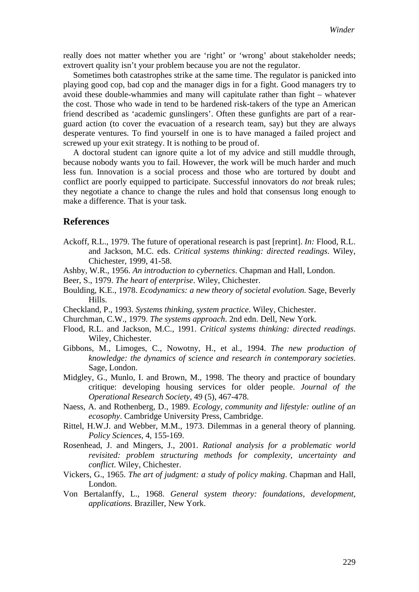really does not matter whether you are 'right' or 'wrong' about stakeholder needs; extrovert quality isn't your problem because you are not the regulator.

Sometimes both catastrophes strike at the same time. The regulator is panicked into playing good cop, bad cop and the manager digs in for a fight. Good managers try to avoid these double-whammies and many will capitulate rather than fight – whatever the cost. Those who wade in tend to be hardened risk-takers of the type an American friend described as 'academic gunslingers'. Often these gunfights are part of a rearguard action (to cover the evacuation of a research team, say) but they are always desperate ventures. To find yourself in one is to have managed a failed project and screwed up your exit strategy. It is nothing to be proud of.

A doctoral student can ignore quite a lot of my advice and still muddle through, because nobody wants you to fail. However, the work will be much harder and much less fun. Innovation is a social process and those who are tortured by doubt and conflict are poorly equipped to participate. Successful innovators do *not* break rules; they negotiate a chance to change the rules and hold that consensus long enough to make a difference. That is your task.

#### **References**

- Ackoff, R.L., 1979. The future of operational research is past [reprint]. *In:* Flood, R.L. and Jackson, M.C. eds. *Critical systems thinking: directed readings*. Wiley, Chichester, 1999, 41-58.
- Ashby, W.R., 1956. *An introduction to cybernetics*. Chapman and Hall, London.
- Beer, S., 1979. *The heart of enterprise*. Wiley, Chichester.
- Boulding, K.E., 1978. *Ecodynamics: a new theory of societal evolution*. Sage, Beverly Hills.
- Checkland, P., 1993. *Systems thinking, system practice*. Wiley, Chichester.
- Churchman, C.W., 1979. *The systems approach*. 2nd edn. Dell, New York.
- Flood, R.L. and Jackson, M.C., 1991. *Critical systems thinking: directed readings*. Wiley, Chichester.
- Gibbons, M., Limoges, C., Nowotny, H., et al., 1994. *The new production of knowledge: the dynamics of science and research in contemporary societies*. Sage, London.
- Midgley, G., Munlo, I. and Brown, M., 1998. The theory and practice of boundary critique: developing housing services for older people. *Journal of the Operational Research Society,* 49 (5), 467-478.
- Naess, A. and Rothenberg, D., 1989. *Ecology, community and lifestyle: outline of an ecosophy*. Cambridge University Press, Cambridge.
- Rittel, H.W.J. and Webber, M.M., 1973. Dilemmas in a general theory of planning. *Policy Sciences,* 4, 155-169.
- Rosenhead, J. and Mingers, J., 2001. *Rational analysis for a problematic world revisited: problem structuring methods for complexity, uncertainty and conflict*. Wiley, Chichester.
- Vickers, G., 1965. *The art of judgment: a study of policy making*. Chapman and Hall, London.
- Von Bertalanffy, L., 1968. *General system theory: foundations, development, applications*. Braziller, New York.